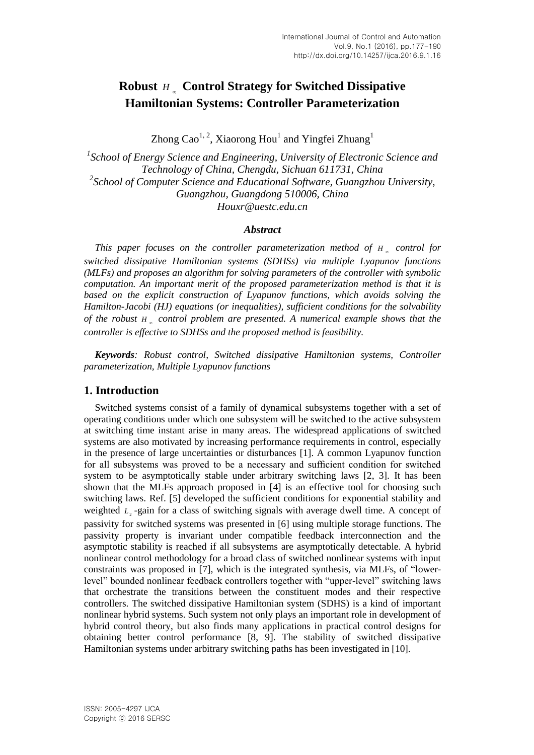# **Robust**  *H* **Control Strategy for Switched Dissipative Hamiltonian Systems: Controller Parameterization**

Zhong Cao<sup>1, 2</sup>, Xiaorong Hou<sup>1</sup> and Yingfei Zhuang<sup>1</sup>

*1 School of Energy Science and Engineering, University of Electronic Science and Technology of China, Chengdu, Sichuan 611731, China 2 School of Computer Science and Educational Software, Guangzhou University, Guangzhou, Guangdong 510006, China [Houxr@uestc.edu.cn](mailto:Houxr@uestc.edu.cn)*

## *Abstract*

*This paper focuses on the controller parameterization method of H control for switched dissipative Hamiltonian systems (SDHSs) via multiple Lyapunov functions (MLFs) and proposes an algorithm for solving parameters of the controller with symbolic computation. An important merit of the proposed parameterization method is that it is*  based on the explicit construction of Lyapunov functions, which avoids solving the *Hamilton-Jacobi (HJ) equations (or inequalities), sufficient conditions for the solvability of the robust H control problem are presented. A numerical example shows that the controller is effective to SDHSs and the proposed method is feasibility.*

*Keywords: Robust control, Switched dissipative Hamiltonian systems, Controller parameterization, Multiple Lyapunov functions*

# **1. Introduction**

Switched systems consist of a family of dynamical subsystems together with a set of operating conditions under which one subsystem will be switched to the active subsystem at switching time instant arise in many areas. The widespread applications of switched systems are also motivated by increasing performance requirements in control, especially in the presence of large uncertainties or disturbances [1]. A common Lyapunov function for all subsystems was proved to be a necessary and sufficient condition for switched system to be asymptotically stable under arbitrary switching laws [2, 3]. It has been shown that the MLFs approach proposed in [4] is an effective tool for choosing such switching laws. Ref. [5] developed the sufficient conditions for exponential stability and weighted  $L<sub>2</sub>$ -gain for a class of switching signals with average dwell time. A concept of passivity for switched systems was presented in [6] using multiple storage functions. The passivity property is invariant under compatible feedback interconnection and the asymptotic stability is reached if all subsystems are asymptotically detectable. A hybrid nonlinear control methodology for a broad class of switched nonlinear systems with input constraints was proposed in [7], which is the integrated synthesis, via MLFs, of "lowerlevel" bounded nonlinear feedback controllers together with "upper-level" switching laws that orchestrate the transitions between the constituent modes and their respective controllers. The switched dissipative Hamiltonian system (SDHS) is a kind of important nonlinear hybrid systems. Such system not only plays an important role in development of hybrid control theory, but also finds many applications in practical control designs for obtaining better control performance [8, 9]. The stability of switched dissipative Hamiltonian systems under arbitrary switching paths has been investigated in [10].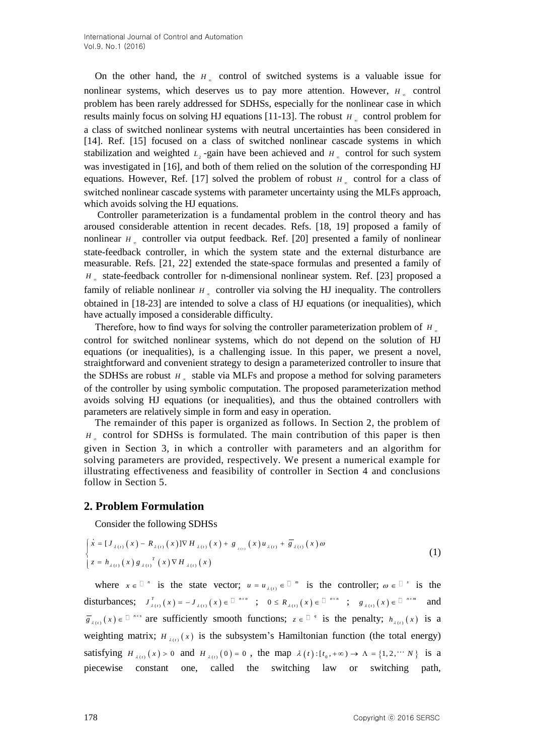On the other hand, the  $H_{\infty}$  control of switched systems is a valuable issue for nonlinear systems, which deserves us to pay more attention. However,  $H_{\infty}$  control problem has been rarely addressed for SDHSs, especially for the nonlinear case in which results mainly focus on solving HJ equations [11-13]. The robust  $H_{\infty}$  control problem for a class of switched nonlinear systems with neutral uncertainties has been considered in [14]. Ref. [15] focused on a class of switched nonlinear cascade systems in which stabilization and weighted  $L_2$ -gain have been achieved and  $H_2$  control for such system was investigated in [16], and both of them relied on the solution of the corresponding HJ equations. However, Ref. [17] solved the problem of robust  $H<sub>x</sub>$  control for a class of switched nonlinear cascade systems with parameter uncertainty using the MLFs approach, which avoids solving the HJ equations.

Controller parameterization is a fundamental problem in the control theory and has aroused considerable attention in recent decades. Refs. [18, 19] proposed a family of nonlinear  $H_{\infty}$  controller via output feedback. Ref. [20] presented a family of nonlinear state-feedback controller, in which the system state and the external disturbance are measurable. Refs. [21, 22] extended the state-space formulas and presented a family of *H*<sub>∞</sub> state-feedback controller for n-dimensional nonlinear system. Ref. [23] proposed a family of reliable nonlinear  $H_{\infty}$  controller via solving the HJ inequality. The controllers obtained in [18-23] are intended to solve a class of HJ equations (or inequalities), which have actually imposed a considerable difficulty.

Therefore, how to find ways for solving the controller parameterization problem of *H* control for switched nonlinear systems, which do not depend on the solution of HJ equations (or inequalities), is a challenging issue. In this paper, we present a novel, straightforward and convenient strategy to design a parameterized controller to insure that the SDHSs are robust  $H_{\infty}$  stable via MLFs and propose a method for solving parameters of the controller by using symbolic computation. The proposed parameterization method avoids solving HJ equations (or inequalities), and thus the obtained controllers with parameters are relatively simple in form and easy in operation.

The remainder of this paper is organized as follows. In Section 2, the problem of *H*<sub>∞</sub> control for SDHSs is formulated. The main contribution of this paper is then given in Section 3, in which a controller with parameters and an algorithm for solving parameters are provided, respectively. We present a numerical example for illustrating effectiveness and feasibility of controller in Section 4 and conclusions follow in Section 5.

# **2. Problem Formulation**

Consider the following SDHSs  
\n
$$
\begin{cases}\n\dot{x} = [J_{\lambda(t)}(x) - R_{\lambda(t)}(x)]\nabla H_{\lambda(t)}(x) + g_{\lambda(t)}(x)u_{\lambda(t)} + \overline{g}_{\lambda(t)}(x)\omega \\
z = h_{\lambda(t)}(x)g_{\lambda(t)}^T(x)\nabla H_{\lambda(t)}(x)\n\end{cases}
$$
\n(1)

where  $x \in \mathbb{R}^n$  is the state vector;  $u = u_{\lambda(t)} \in \mathbb{R}^m$  is the controller;  $\omega \in \mathbb{R}^s$  is the disturbances;  $J_{\lambda(t)}^T(x) = -J_{\lambda(t)}(x) \in \mathbb{R}^{n \times n}$ ;  $0 \le R_{\lambda(t)}(x) \in \mathbb{R}^{n \times n}$ ;  $g_{\lambda(t)}(x) \in \mathbb{R}^{n \times m}$  and  $g_{\lambda(t)}(x) \in \mathbb{R}^{n \times s}$  are sufficiently smooth functions;  $z \in \mathbb{R}^{n}$  is the penalty;  $h_{\lambda(t)}(x)$  is a weighting matrix;  $H_{\lambda(t)}(x)$  is the subsystem's Hamiltonian function (the total energy) satisfying  $H_{\lambda(t)}(x) > 0$  and  $H_{\lambda(t)}(0) = 0$ , the map  $\lambda(t): [t_0, +\infty) \to \Lambda = \{1, 2, \dots, N\}$  is a piecewise constant one, called the switching law or switching path,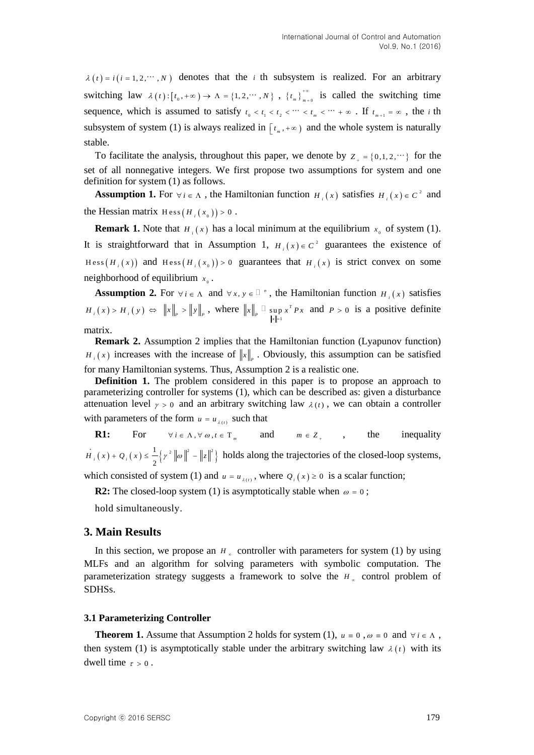$z(t) = t(t-1, 2, \cdots, k)$  denotes that the  $i$  th subsystem is realized. For an arbitrary<br>switching has  $\lambda(t) : t_1(t, \ldots, n) > n \ge |t_1(t, \ldots, n) \rangle$ ,  $t_1(t, \ldots, k)$  is called the switching theoretical<br>subsystem of system (1) is always denotes that the *i* th subsystem is realized. For an arbitrary switching law  $\lambda(t): [t_0, +\infty) \to \Lambda = \{1, 2, \dots, N\}$ ,  $\{t_m\}_{m=0}^{+\infty}$  $\int_{0}^{\infty}$  is called the switching time sequence, which is assumed to satisfy  $t_0 < t_1 < t_2 < \cdots < t_m < \cdots + \infty$ . If  $t_{m+1} = \infty$ , the *i* th subsystem of system (1) is always realized in  $[t_m, +\infty)$  and the whole system is naturally stable.

To facilitate the analysis, throughout this paper, we denote by  $Z_{+} = \{0,1,2,\dots\}$  for the set of all nonnegative integers. We first propose two assumptions for system and one definition for system (1) as follows.

**Assumption 1.** For  $\forall i \in \Lambda$ , the Hamiltonian function  $H_i(x)$  satisfies  $H_i(x) \in C^2$  and the Hessian matrix  $Hess(H_i(x_0)) > 0$ .

**Remark 1.** Note that  $H_i(x)$  has a local minimum at the equilibrium  $x_0$  of system (1). It is straightforward that in Assumption 1,  $H_i(x) \in C^2$  guarantees the existence of  $Hess(H_i(x))$  and  $Hess(H_i(x_0)) > 0$  guarantees that  $H_i(x)$  is strict convex on some neighborhood of equilibrium  $x_0$ .

**Assumption 2.** For  $\forall i \in \Lambda$  and  $\forall x, y \in \mathbb{R}^n$ , the Hamiltonian function  $H_i(x)$  satisfies  $H_i(x) > H_i(y) \Leftrightarrow \|x\|_p > \|y\|_p$ , where  $\|x\|_p \overset{\Box}{=} \sup_{\|x\|=1}$  $\sup x^7$ *P x*  $x \parallel \Box$  sup  $x' P x$  $p x^T P x$  and  $P > 0$  is a positive definite

matrix.

**Remark 2.** Assumption 2 implies that the Hamiltonian function (Lyapunov function)  $H_i(x)$  increases with the increase of  $||x||_p$ . Obviously, this assumption can be satisfied for many Hamiltonian systems. Thus, Assumption 2 is a realistic one.

**Definition 1.** The problem considered in this paper is to propose an approach to parameterizing controller for systems (1), which can be described as: given a disturbance attenuation level  $\gamma > 0$  and an arbitrary switching law  $\lambda(t)$ , we can obtain a controller with parameters of the form  $u = u_{\lambda(t)}$  such that

**R1:** For  $\forall i \in \Lambda, \forall \omega, t \in \mathbb{T}_m$  and  $m \in \mathbb{Z}_+$ inequality  $(x) + Q_i(x) \leq \frac{1}{2} \left\{ \gamma^2 \left\| \omega \right\|^2 - \left\| z \right\|^2 \right\}.$  $H_i(x) + Q_i(x) \leq \frac{1}{2} \left\{ \gamma^2 \left\| \omega \right\|^2 - \left\| z \right\|^2 \right\}$  holds along the trajectories of the closed-loop systems,

which consisted of system (1) and  $u = u_{\lambda(t)}$ , where  $Q_i(x) \ge 0$  is a [scalar](javascript:void(0);) [function;](javascript:void(0);)

**R2:** The closed-loop system (1) is asymptotically stable when  $\omega = 0$ ;

hold simultaneously.

## **3. Main Results**

In this section, we propose an  $H_{\infty}$  controller with parameters for system (1) by using MLFs and an algorithm for solving parameters with symbolic computation. The parameterization strategy suggests a framework to solve the  $H_{\infty}$  control problem of SDHSs.

#### **3.1 Parameterizing Controller**

**Theorem 1.** Assume that Assumption 2 holds for system (1),  $u \equiv 0$ ,  $\omega \equiv 0$  and  $\forall i \in \Lambda$ , then system (1) is asymptotically stable under the arbitrary switching law  $\lambda(t)$  with its dwell time  $\tau > 0$ .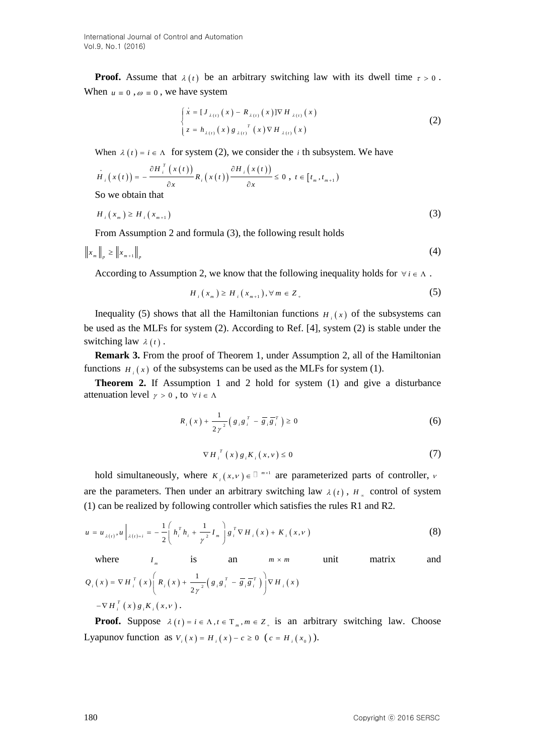**Proof.** Assume that  $\lambda(t)$  be an arbitrary switching law with its dwell time  $\tau > 0$ . When  $u \equiv 0$ ,  $\omega \equiv 0$ , we have system

$$
\begin{cases}\n\dot{x} = [J_{\lambda(t)}(x) - R_{\lambda(t)}(x)] \nabla H_{\lambda(t)}(x) \\
z = h_{\lambda(t)}(x) g_{\lambda(t)}^T(x) \nabla H_{\lambda(t)}(x)\n\end{cases}
$$
\n(2)

When 
$$
\lambda(t) = i \in \Lambda
$$
 for system (2), we consider the *i* th subsystem. We have  
\n
$$
H_i(x(t)) = -\frac{\partial H_i^T(x(t))}{\partial x} R_i(x(t)) \frac{\partial H_i(x(t))}{\partial x} \le 0, t \in [t_m, t_{m+1})
$$
\nSo we obtain that

$$
H_i(x_m) \ge H_i(x_{m+1}) \tag{3}
$$

From Assumption 2 and formula (3), the following result holds

$$
\left\|x_m\right\|_p \ge \left\|x_{m+1}\right\|_p \tag{4}
$$

According to Assumption 2, we know that the following inequality holds for  $\forall i \in \Lambda$ .

$$
H_{i}(x_{m}) \geq H_{i}(x_{m+1}), \forall m \in Z_{+}
$$
 (5)

Inequality (5) shows that all the Hamiltonian functions  $H_i(x)$  of the subsystems can be used as the MLFs for system (2). According to Ref. [4], system (2) is stable under the switching law  $\lambda(t)$ .

**Remark 3.** From the proof of Theorem 1, under Assumption 2, all of the Hamiltonian functions  $H_i(x)$  of the subsystems can be used as the MLFs for system (1).

**Theorem 2.** If Assumption 1 and 2 hold for system (1) and give a disturbance attenuation level  $\gamma > 0$ , to  $\forall i \in \Lambda$ 

$$
R_{i}(x) + \frac{1}{2\gamma^{2}} \left( g_{i}g_{i}^{T} - \overline{g}_{i}g_{i}^{T} \right) \ge 0
$$
 (6)

$$
\nabla H_i^T(x) g_i K_i(x, v) \le 0 \tag{7}
$$

hold simultaneously, where  $K_i(x, v) \in \mathbb{R}^{m \times 1}$  are parameterized parts of controller,  $v$ are the parameters. Then under an arbitrary switching law  $\lambda(t)$ ,  $H_{\infty}$  control of system

(1) can be realized by following controller which satisfies the rules R1 and R2.  
\n
$$
u = u_{\lambda(t)}, u|_{\lambda(t)=i} = -\frac{1}{2} \left( h_i^T h_i + \frac{1}{\gamma^2} I_m \right) g_i^T \nabla H_i(x) + K_i(x, v)
$$
\n(8)

where  $I_m$  is an  $m \times m$ matrix and  $( x ) = \nabla H_i^T ( x ) | R_i ( x ) + \frac{1}{2} ( g_i g_i^T - g_i g_i^T ) | \nabla H_i ( x )$ 1  $Q_{i}(x) = \nabla H_{i}^{T}(x) \left(R_{i}(x) + \frac{1}{2\gamma^{2}}\left(g_{i}g_{i}^{T} - \overline{g}_{i}\overline{g}_{i}^{T}\right)\right) \nabla H_{i}(x)$ Te  $I_m$  1S an  $m \times m$ <br>=  $\nabla H_i^T(x) \left(R_i(x) + \frac{1}{2\gamma^2} \left(g_i g_i^T - \overline{g}_i \overline{g}_i^T\right)\right) \nabla H_i(x)$  $-\nabla H_{i}^{T}(x) g_{i} K_{i}(x,\nu).$ 

**Proof.** Suppose  $\lambda(t) = i \in \Lambda, t \in \mathbb{T}_m, m \in \mathbb{Z}_+$  is an arbitrary switching law. Choose Lyapunov function as  $V_i(x) = H_i(x) - c \ge 0$  ( $c = H_i(x_0)$ ).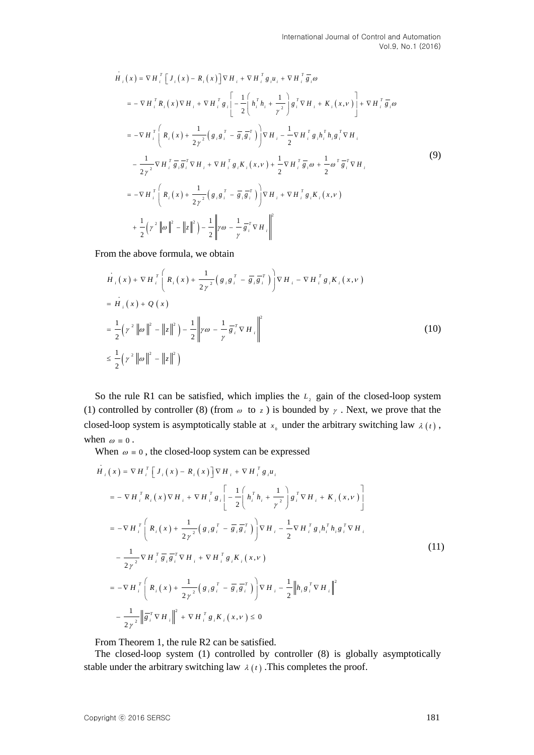$$
\dot{H}_{i}(x) = \nabla H_{i}^{T} [J_{i}(x) - R_{i}(x)] \nabla H_{i} + \nabla H_{i}^{T} g_{i} u_{i} + \nabla H_{i}^{T} \overline{g}_{i} \omega
$$
\n
$$
= - \nabla H_{i}^{T} R_{i}(x) \nabla H_{i} + \nabla H_{i}^{T} g_{i} \left[ -\frac{1}{2} \left( h_{i}^{T} h_{i} + \frac{1}{\gamma^{2}} \right) g_{i}^{T} \nabla H_{i} + K_{i}(x, v) \right] + \nabla H_{i}^{T} \overline{g}_{i} \omega
$$
\n
$$
= - \nabla H_{i}^{T} \left( R_{i}(x) + \frac{1}{2\gamma^{2}} \left( g_{i} g_{i}^{T} - \overline{g}_{i} \overline{g}_{i}^{T} \right) \right) \nabla H_{i} - \frac{1}{2} \nabla H_{i}^{T} g_{i} h_{i}^{T} h_{i} g_{i}^{T} \nabla H_{i}
$$
\n
$$
- \frac{1}{2\gamma^{2}} \nabla H_{i}^{T} \overline{g}_{i} \overline{g}_{i}^{T} \nabla H_{i} + \nabla H_{i}^{T} g_{i} K_{i}(x, v) + \frac{1}{2} \nabla H_{i}^{T} \overline{g}_{i} \omega + \frac{1}{2} \omega^{T} \overline{g}_{i}^{T} \nabla H_{i}
$$
\n
$$
= - \nabla H_{i}^{T} \left( R_{i}(x) + \frac{1}{2\gamma^{2}} \left( g_{i} g_{i}^{T} - \overline{g}_{i} \overline{g}_{i}^{T} \right) \right) \nabla H_{i} + \nabla H_{i}^{T} g_{i} K_{i}(x, v)
$$
\n
$$
+ \frac{1}{2} \left( \gamma^{2} \|\omega\|^{2} - \|\mathbf{z}\|^{2} \right) - \frac{1}{2} \left\| \gamma \omega - \frac{1}{\gamma} \overline{g}_{i}^{T} \nabla H_{i} \right\|^{2}
$$
\n(9)

From the above formula, we obtain  
\n
$$
\vec{H}_i(x) + \nabla H_i^T \left( R_i(x) + \frac{1}{2\gamma^2} \left( g_i g_i^T - \overline{g}_i \overline{g}_i^T \right) \right) \nabla H_i - \nabla H_i^T g_i K_i(x, v)
$$
\n
$$
= \vec{H}_i(x) + Q(x)
$$
\n
$$
= \frac{1}{2} \left( \gamma^2 \|\omega\|^2 - \|z\|^2 \right) - \frac{1}{2} \left\| \gamma \omega - \frac{1}{\gamma} \overline{g}_i^T \nabla H_i \right\|^2
$$
\n
$$
\leq \frac{1}{2} \left( \gamma^2 \|\omega\|^2 - \|z\|^2 \right)
$$
\n(10)

So the rule R1 can be satisfied, which implies the  $L<sub>2</sub>$  gain of the closed-loop system (1) controlled by controller (8) (from  $\omega$  to  $z$ ) is bounded by  $\gamma$ . Next, we prove that the closed-loop system is asymptotically stable at  $x_0$  under the arbitrary switching law  $\lambda(t)$ , when  $\omega = 0$ .

When 
$$
\omega \equiv 0
$$
, the closed-loop system can be expressed  
\n
$$
\vec{H}_{i}(x) = \nabla H_{i}^{T} [J_{i}(x) - R_{i}(x)] \nabla H_{i} + \nabla H_{i}^{T} g_{i} u_{i}
$$
\n
$$
= - \nabla H_{i}^{T} R_{i}(x) \nabla H_{i} + \nabla H_{i}^{T} g_{i} \left[ -\frac{1}{2} \left( h_{i}^{T} h_{i} + \frac{1}{\gamma^{2}} \right) g_{i}^{T} \nabla H_{i} + K_{i}(x, v) \right]
$$
\n
$$
= - \nabla H_{i}^{T} \left( R_{i}(x) + \frac{1}{2\gamma^{2}} \left( g_{i} g_{i}^{T} - \overline{g}_{i} \overline{g}_{i}^{T} \right) \right) \nabla H_{i} - \frac{1}{2} \nabla H_{i}^{T} g_{i} h_{i}^{T} h_{i} g_{i}^{T} \nabla H_{i}
$$
\n
$$
- \frac{1}{2\gamma^{2}} \nabla H_{i}^{T} \overline{g}_{i} \overline{g}_{i}^{T} \nabla H_{i} + \nabla H_{i}^{T} g_{i} K_{i}(x, v)
$$
\n
$$
= - \nabla H_{i}^{T} \left( R_{i}(x) + \frac{1}{2\gamma^{2}} \left( g_{i} g_{i}^{T} - \overline{g}_{i} \overline{g}_{i}^{T} \right) \right) \nabla H_{i} - \frac{1}{2} \left\| h_{i} g_{i}^{T} \nabla H_{i} \right\|^{2}
$$
\n
$$
- \frac{1}{2\gamma^{2}} \left\| \overline{g}_{i}^{T} \nabla H_{i} \right\|^{2} + \nabla H_{i}^{T} g_{i} K_{i}(x, v) \leq 0
$$
\n(11)

From Theorem 1, the rule R2 can be satisfied.

The closed-loop system (1) controlled by controller (8) is globally asymptotically stable under the arbitrary switching law  $\lambda(t)$ . This completes the proof.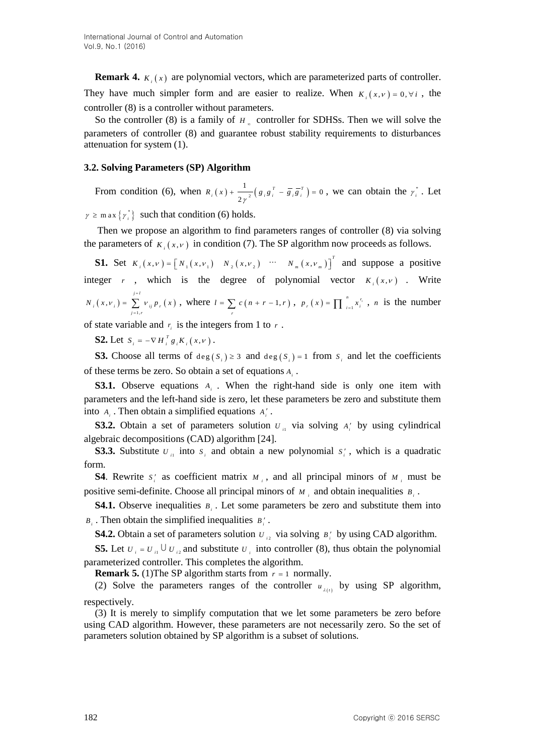**Remark 4.**  $K_i(x)$  are polynomial vectors, which are parameterized parts of controller. They have much simpler form and are easier to realize. When  $K_i(x, v) = 0, \forall i$ , the controller (8) is a controller without parameters.

So the controller (8) is a family of  $H_{\infty}$  controller for SDHSs. Then we will solve the parameters of controller (8) and guarantee robust stability requirements to disturbances attenuation for system (1).

#### **3.2. Solving Parameters (SP) Algorithm**

From condition (6), when  $R_i(x) + \frac{1}{2} (g_i g_i^T - \overline{g_i} \overline{g}_i^T) = 0$ 2  $R_i(x) + \frac{1}{2\gamma^2} \left( g_i g_i^T - \overline{g_i} \overline{g}_i^T \right) = 0$ , we can obtain the  $\gamma_i^*$ . Let

 $\gamma \geq$  m ax  $\{\gamma_i^*\}$  such that condition (6) holds.

Then we propose an algorithm to find parameters ranges of controller (8) via solving the parameters of  $K_i(x, v)$  in condition (7). The SP algorithm now proceeds as follows.

**S1.** Set  $K_i(x, v) = [N_1(x, v_1) \quad N_2(x, v_2) \quad \cdots \quad N_m(x, v_m)]$ *T*  $K_i(x, v) = [N_1(x, v_1) \quad N_2(x, v_2) \quad \cdots \quad N_m(x, v_m)]^T$  and suppose a positive integer *r*, which is the degree of polynomial vector  $K_i(x, v)$ . Write  $(x,v_i) = \sum v_{ii} p_i(x)$ 1 , ,  $j = l$  $i(x, V_i) = \sum_{j=1, r} V_{ij} P_i$  $N_{i} (x,v_{i}) = \sum_{i=1}^{j=1} v_{ii} p_{i} (x_{i})$ =  $\sum_{j=1,r} v_{ij} p_r(x)$ , where  $l = \sum_{r} c(n+r-1,r)$  $l = \sum_{r} c(n + r - 1, r)$ ,  $p_r(x) = \prod_{i=1}^{n} x_i^{r_i}$ , *n* is the number

of state variable and  $r_i$  is the integers from 1 to  $r$ .

**S2.** Let  $S_i = -\nabla H_i^T g_i K_i(x, v)$ .

**S3.** Choose all terms of  $deg(S_i) \geq 3$  and  $deg(S_i) = 1$  from  $S_i$  and let the coefficients of these terms be zero. So obtain a set of equations  $A_i$ .

**S3.1.** Observe equations  $A_i$ . When the right-hand side is only one item with parameters and the left-hand side is zero, let these parameters be zero and substitute them into  $A_i$ . Then obtain a simplified equations  $A'_i$ .

**S3.2.** Obtain a set of parameters solution  $U_{ii}$  via solving  $A_i$  by using cylindrical algebraic decompositions (CAD) algorithm [24].

**S3.3.** Substitute  $U_{ii}$  into  $S_i$  and obtain a new polynomial  $S_i'$ , which is a quadratic form.

**S4**. Rewrite  $s_i$  as coefficient matrix  $M_i$ , and all principal minors of  $M_i$  must be positive semi-definite. Choose all principal minors of  $M_i$  and obtain inequalities  $B_i$ .

**S4.1.** Observe inequalities  $B_i$ . Let some parameters be zero and substitute them into *B*<sub>*i*</sub>. Then obtain the simplified inequalities  $B_i'$ .

**S4.2.** Obtain a set of parameters solution  $U_{i2}$  via solving  $B_i'$  by using CAD algorithm.

**S5.** Let  $U_i = U_{ii} \cup U_{ii}$  and substitute  $U_i$  into controller (8), thus obtain the polynomial parameterized controller. This completes the algorithm.

**Remark 5.** (1) The SP algorithm starts from  $r = 1$  normally.

(2) Solve the parameters ranges of the controller  $u_{\lambda(t)}$  by using SP algorithm, respectively.

(3) It is merely to simplify computation that we let some parameters be zero before using CAD algorithm. However, these parameters are not necessarily zero. So the set of parameters solution obtained by SP algorithm is a subset of solutions.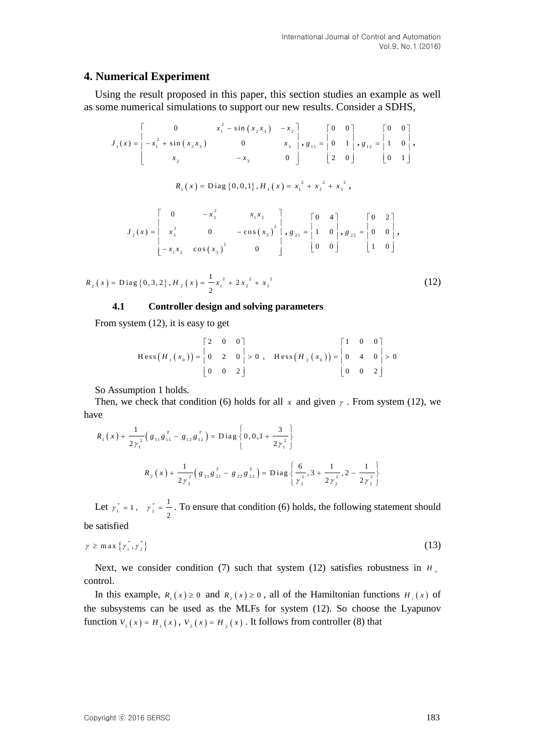## **4. Numerical Experiment**

Using the result proposed in this paper, this section studies an example as well as some numerical simulations to support our new results. Consider a SDHS,

$$
J_{1}(x) = \begin{bmatrix} 0 & x_{1}^{2} - \sin(x_{2}x_{3}) & -x_{2} \\ -x_{1}^{2} + \sin(x_{2}x_{3}) & 0 & x_{3} \\ x_{2} & -x_{3} & 0 \end{bmatrix}, g_{11} = \begin{bmatrix} 0 & 0 \\ 0 & 1 \\ 2 & 0 \end{bmatrix}, g_{12} = \begin{bmatrix} 0 & 0 \\ 1 & 0 \\ 0 & 1 \end{bmatrix}, g_{23} = \begin{bmatrix} 0 & 0 \\ 1 & 0 \\ 0 & 1 \end{bmatrix}, g_{34} = \begin{bmatrix} 0 & 0 \\ 0 & 1 \\ 0 & 1 \end{bmatrix}, g_{13} = \begin{bmatrix} 0 & 0 \\ 0 & 1 \\ 0 & 1 \end{bmatrix}, g_{34} = \begin{bmatrix} 0 & 0 \\ 0 & 1 \\ 0 & 1 \end{bmatrix}, g_{35} = \begin{bmatrix} 0 & 0 \\ 0 & 1 \\ 0 & 1 \end{bmatrix}, g_{36} = \begin{bmatrix} 0 & 0 \\ 0 & 0 \\ 0 & 1 \end{bmatrix}, g_{37} = \begin{bmatrix} 0 & 0 \\ 0 & 0 \\ 0 & 0 \end{bmatrix}, g_{38} = \begin{bmatrix} 0 & 0 \\ 0 & 0 \\ 0 & 0 \end{bmatrix}, g_{37} = \begin{bmatrix} 0 & 0 \\ 0 & 0 \\ 0 & 0 \end{bmatrix}, g_{38} = \begin{bmatrix} 0 & 0 \\ 0 & 0 \\ 0 & 0 \end{bmatrix}, g_{39} = \begin{bmatrix} 0 & 0 \\ 0 & 0 \\ 0 & 0 \end{bmatrix}, g_{30} = \begin{bmatrix} 0 & 0 \\ 0 & 0 \\ 0 & 0 \end{bmatrix}, g_{30} = \begin{bmatrix} 0 & 0 \\ 0 & 0 \\ 0 & 0 \end{bmatrix}, g_{30} = \begin{bmatrix} 0 & 0 \\ 0 & 0 \\ 0 & 0 \end{bmatrix}, g_{31} = \begin{bmatrix} 0 & 0 \\ 0 & 0 \\ 0 & 0 \end{bmatrix}, g_{31} = \begin{bmatrix} 0 & 0 \\ 0 & 0 \\ 0 & 0 \end{bmatrix}, g_{30} = \begin{bmatrix} 0 & 0 \\ 0 & 0 \\ 0 & 0 \end{bmatrix}, g_{30} =
$$

$$
R_2(x) = \text{Diag}\{0,3,2\}, H_2(x) = \frac{1}{2}x_1^2 + 2x_2^2 + x_3^2
$$
 (12)

#### **4.1 Controller design and solving parameters**

From system (12), it is easy to get

$$
\text{Hess}\left(H_1(x_0)\right) = \begin{bmatrix} 2 & 0 & 0 \\ 0 & 2 & 0 \\ 0 & 0 & 2 \end{bmatrix} > 0 , \quad \text{Hess}\left(H_2(x_0)\right) = \begin{bmatrix} 1 & 0 & 0 \\ 0 & 4 & 0 \\ 0 & 0 & 2 \end{bmatrix} > 0
$$

So Assumption 1 holds.

Then, we check that condition (6) holds for all  $x$  and given  $y$ . From system (12), we have

70  
\n
$$
R_{1}(x) + \frac{1}{2\gamma_{1}^{2}} \left(g_{11}g_{11}^{T} - g_{12}g_{12}^{T}\right) = \text{Diag}\left\{0, 0, 1 + \frac{3}{2\gamma_{1}^{2}}\right\}
$$
\n
$$
R_{2}(x) + \frac{1}{2\gamma_{2}^{2}}\left(g_{21}g_{21}^{T} - g_{22}g_{22}^{T}\right) = \text{Diag}\left\{\frac{6}{\gamma_{2}^{2}}, 3 + \frac{1}{2\gamma_{2}^{2}}, 2 - \frac{1}{2\gamma_{2}^{2}}\right\}
$$

Let  $\gamma_1^* = 1$ ,  $\gamma_2^* = \frac{1}{2}$  $\gamma_2^* = \frac{1}{2}$ . To ensure that condition (6) holds, the following statement should be satisfied

$$
\gamma \ge \max \left\{ \gamma_1^*, \gamma_2^* \right\} \tag{13}
$$

Next, we consider condition (7) such that system (12) satisfies robustness in  $H_{\alpha}$ control.

In this example,  $R_1(x) \ge 0$  and  $R_2(x) \ge 0$ , all of the Hamiltonian functions  $H_i(x)$  of the subsystems can be used as the MLFs for system (12). So choose the Lyapunov function  $V_1(x) = H_1(x)$ ,  $V_2(x) = H_2(x)$ . It follows from controller (8) that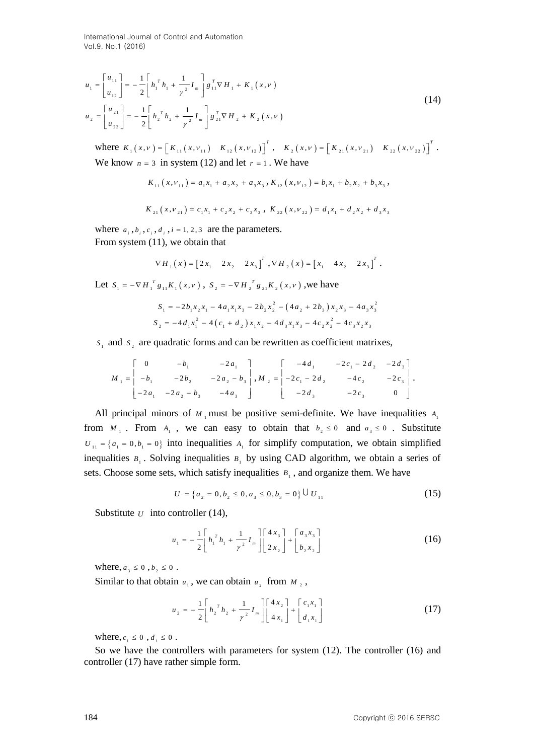International Journal of Control and Automation Vol.9, No.1 (2016)

$$
u_{1} = \begin{bmatrix} u_{11} \\ u_{12} \end{bmatrix} = -\frac{1}{2} \begin{bmatrix} h_{1}^T h_{1} + \frac{1}{\gamma^2} I_m \end{bmatrix} g_{11}^T \nabla H_{1} + K_1(x, v)
$$
  
\n
$$
u_{2} = \begin{bmatrix} u_{21} \\ u_{22} \end{bmatrix} = -\frac{1}{2} \begin{bmatrix} h_{2}^T h_{2} + \frac{1}{\gamma^2} I_m \end{bmatrix} g_{21}^T \nabla H_{2} + K_2(x, v)
$$
\n(14)

where  $K_1(x, v) = [K_{11}(x, v_{11}) \ K_{12}(x, v_{12})]^T$ ,  $K_2(x, v) = [K_{21}(x, v_{21}) \ K_{22}(x, v_{22})]^T$ . We know  $n = 3$  in system (12) and let  $r = 1$ . We have

$$
K_{11}(x, \nu_{11}) = a_1 x_1 + a_2 x_2 + a_3 x_3, K_{12}(x, \nu_{12}) = b_1 x_1 + b_2 x_2 + b_3 x_3,
$$
  

$$
K_{21}(x, \nu_{21}) = c_1 x_1 + c_2 x_2 + c_3 x_3, K_{22}(x, \nu_{22}) = d_1 x_1 + d_2 x_2 + d_3 x_3
$$

where  $a_i$ ,  $b_i$ ,  $c_i$ ,  $d_i$ ,  $i = 1, 2, 3$  are the parameters. From system (11), we obtain that

$$
\nabla H_1(x) = [2x_1 \quad 2x_2 \quad 2x_3]^T
$$
,  $\nabla H_2(x) = [x_1 \quad 4x_2 \quad 2x_3]^T$ .

Let  $S_1 = -\nabla H_1^T g_{11} K_1(x, v)$ ,  $S_2 = -\nabla H_2^T g_{21} K_2(x, v)$ , we have

 2 2 1 1 2 1 1 1 3 2 2 2 3 2 3 3 3 *S b x x a x x b x a b x x a x* 2 4 2 4 2 4 2 2 2 1 1 1 2 1 2 3 1 3 2 2 3 2 3 *S d x c d x x d x x c x c x x* 4 4 4 4 4

 $S_1$  and  $S_2$  are quadratic forms and can be rewritten as coefficient matrixes,

$$
M_{1} = \begin{bmatrix} 0 & -b_{1} & -2a_{1} \\ -b_{1} & -2b_{2} & -2a_{2} - b_{3} \\ -2a_{1} & -2a_{2} - b_{3} & -4a_{3} \end{bmatrix}, M_{2} = \begin{bmatrix} -4d_{1} & -2c_{1} - 2d_{2} & -2d_{3} \\ -2c_{1} - 2d_{2} & -4c_{2} & -2c_{3} \\ -2d_{3} & -2c_{3} & 0 \end{bmatrix}.
$$

All principal minors of  $M_1$  must be positive semi-definite. We have inequalities  $A_1$ from  $M_1$ . From  $A_1$ , we can easy to obtain that  $b_2 \le 0$  and  $a_3 \le 0$ . Substitute  $U_{11} = \{a_1 = 0, b_1 = 0\}$  into inequalities  $A_1$  for simplify computation, we obtain simplified inequalities  $B_1$ . Solving inequalities  $B_1$  by using CAD algorithm, we obtain a series of sets. Choose some sets, which satisfy inequalities  $B_1$ , and organize them. We have

$$
U = \left\{ a_2 = 0, b_2 \le 0, a_3 \le 0, b_3 = 0 \right\} \cup U_{11}
$$
 (15)

Substitute  $U$  into controller (14),

$$
u_1 = -\frac{1}{2} \left[ h_1^T h_1 + \frac{1}{\gamma^2} I_m \right] \left[ \frac{4x_3}{2x_2} \right] + \left[ \frac{a_3 x_3}{b_2 x_2} \right] \tag{16}
$$

where,  $a_3 \le 0$ ,  $b_2 \le 0$ .

Similar to that obtain  $u_1$ , we can obtain  $u_2$  from  $M_2$ ,

$$
u_2 = -\frac{1}{2} \left[ h_2^T h_2 + \frac{1}{\gamma^2} I_m \right] \left[ \frac{4x_2}{4x_1} \right] + \left[ \frac{c_1 x_1}{d_1 x_1} \right] \tag{17}
$$

where,  $c_1 \le 0$ ,  $d_1 \le 0$ .

So we have the controllers with parameters for system (12). The controller (16) and controller (17) have rather simple form.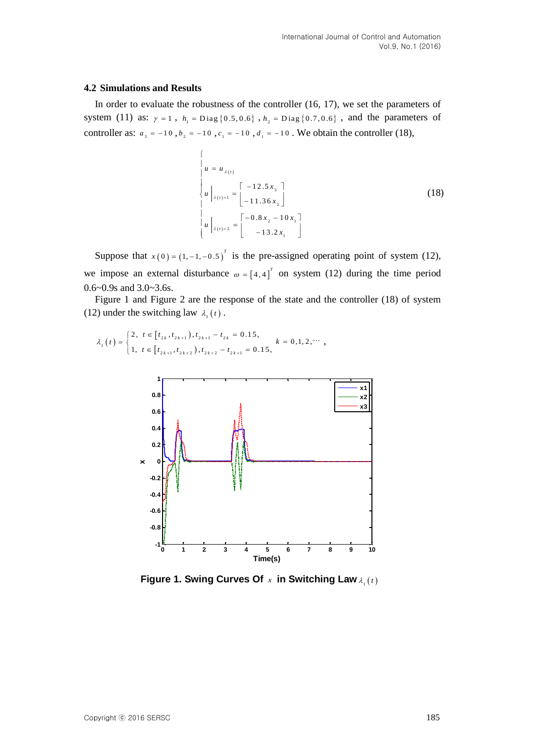#### **4.2 Simulations and Results**

In order to evaluate the robustness of the controller (16, 17), we set the parameters of system (11) as:  $\gamma = 1$ ,  $h_1 = \text{Diag} \{0.5, 0.6\}$ ,  $h_2 = \text{Diag} \{0.7, 0.6\}$ , and the parameters of controller as:  $a_3 = -10$ ,  $b_2 = -10$ ,  $c_1 = -10$ ,  $d_1 = -10$ . We obtain the controller (18),

$$
\begin{cases}\n u = u_{\lambda(t)} \\
 u \bigg|_{\lambda(t)=1} = \begin{bmatrix} -12.5 x_3 \\
 -11.36 x_2 \end{bmatrix} \\
 u \bigg|_{\lambda(t)=2} = \begin{bmatrix} -0.8 x_2 - 10 x_1 \\
 -13.2 x_1 \end{bmatrix}\n\end{cases}
$$
\n(18)

Suppose that  $x(0) = (1, -1, -0.5)^T$  is the pre-assigned operating point of system (12), we impose an external disturbance  $\omega = \begin{bmatrix} 4 & 4 \end{bmatrix}^T$  on system (12) during the time period 0.6~0.9s and 3.0~3.6s.

Figure 1 and Figure 2 are the response of the state and the controller (18) of system (12) under the switching law  $\lambda_1(t)$ .

$$
\lambda_{1}(t) = \begin{cases} 2, & t \in [t_{2k}, t_{2k+1}), t_{2k+1} - t_{2k} = 0.15, \\ 1, & t \in [t_{2k+1}, t_{2k+2}), t_{2k+2} - t_{2k+1} = 0.15, \end{cases} k = 0, 1, 2, \cdots
$$



Figure 1. Swing Curves Of x in Switching Law  $\lambda_1(t)$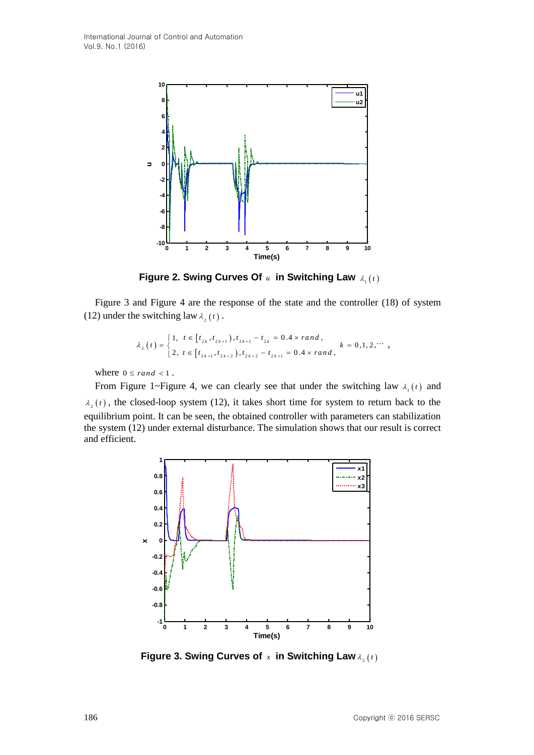

**Figure 2. Swing Curves Of**  $\mu$  **in Switching Law**  $\lambda_1(t)$ 

Figure 3 and Figure 4 are the response of the state and the controller (18) of system (12) under the switching law  $\lambda_2(t)$ .

$$
\lambda_{2}(t) = \begin{cases} 1, & t \in [t_{2k}, t_{2k+1}), t_{2k+1} - t_{2k} = 0.4 \times rand, \\ 2, & t \in [t_{2k+1}, t_{2k+2}), t_{2k+2} - t_{2k+1} = 0.4 \times rand, \end{cases} k = 0, 1, 2, \cdots
$$

where  $0 \leq rand < 1$ .

From Figure 1~Figure 4, we can clearly see that under the switching law  $\lambda_1(t)$  and  $\lambda_2(t)$ , the closed-loop system (12), it takes short time for system to return back to the equilibrium point. It can be seen, the obtained controller with parameters can stabilization the system (12) under external disturbance. The simulation shows that our result is correct and efficient.



**Figure 3. Swing Curves of**  *x* **in Switching Law** <sup>2</sup> *t*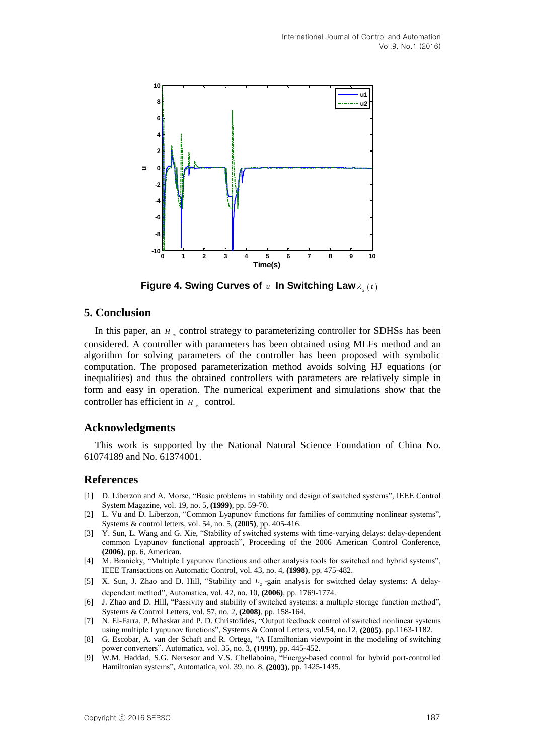

**Figure 4. Swing Curves of u In Switching Law**  $\lambda_2(t)$ 

## **5. Conclusion**

In this paper, an  $H_*$  control strategy to parameterizing controller for SDHSs has been considered. A controller with parameters has been obtained using MLFs method and an algorithm for solving parameters of the controller has been proposed with symbolic computation. The proposed parameterization method avoids solving HJ equations (or inequalities) and thus the obtained controllers with parameters are relatively simple in form and easy in operation. The numerical experiment and simulations show that the controller has efficient in  $H_{\infty}$  control.

## **Acknowledgments**

This work is supported by the National Natural Science Foundation of China No. 61074189 and No. 61374001.

# **References**

- [1] D. Liberzon and A. Morse, "Basic problems in stability and design of switched systems", IEEE Control System Magazine, vol. 19, no. 5, **(1999)**, pp. 59-70.
- [2] L. Vu and D. Liberzon, "Common Lyapunov functions for families of commuting nonlinear systems", Systems & control letters, vol. 54, no. 5, **(2005)**, pp. 405-416.
- [3] Y. Sun, L. Wang and G. Xie, "Stability of switched systems with time-varying delays: delay-dependent common Lyapunov functional approach", Proceeding of the 2006 American Control Conference, **(2006)**, pp. 6, American.
- [4] M. Branicky, "Multiple Lyapunov functions and other analysis tools for switched and hybrid systems", IEEE Transactions on Automatic Control, vol. 43, no. 4, **(1998)**, pp. 475-482.
- [5] X. Sun, J. Zhao and D. Hill, "Stability and  $L<sub>2</sub>$ -gain analysis for switched delay systems: A delaydependent method", Automatica, vol. 42, no. 10, **(2006)**, pp. 1769-1774.
- [6] J. Zhao and D. Hill, "Passivity and stability of switched systems: a multiple storage function method", Systems & Control Letters, vol. 57, no. 2, **(2008)**, pp. 158-164.
- [7] N. El-Farra, P. Mhaskar and P. D. Christofides, "Output feedback control of switched nonlinear systems using multiple Lyapunov functions", Systems & Control Letters, vol.54, no.12, **(2005)**, pp.1163-1182.
- [8] G. Escobar, A. van der Schaft and R. Ortega, "A Hamiltonian viewpoint in the modeling of switching power converters". Automatica, vol. 35, no. 3, **(1999)**, pp. 445-452.
- [9] W.M. Haddad, S.G. Nersesor and V.S. Chellaboina, "Energy-based control for hybrid port-controlled Hamiltonian systems", Automatica, vol. 39, no. 8, **(2003)**, pp. 1425-1435.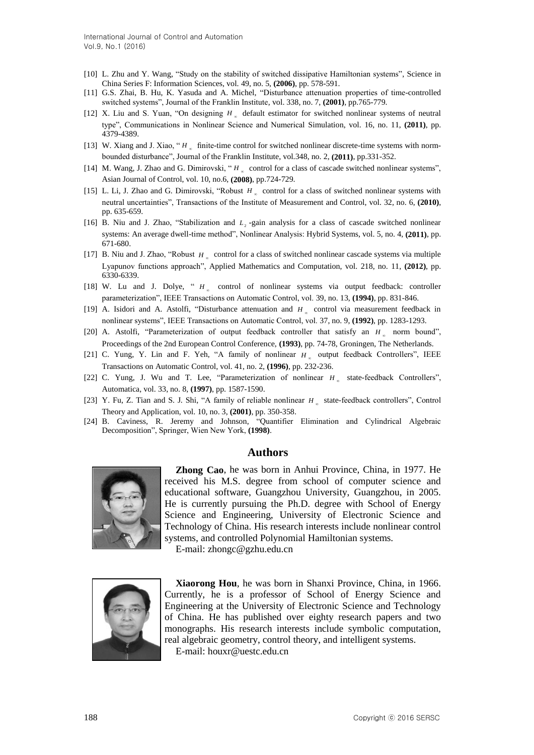- [10] L. Zhu and Y. Wang, "Study on the stability of switched dissipative Hamiltonian systems", Science in China Series F: Information Sciences, vol. 49, no. 5, **(2006)**, pp. 578-591.
- [11] G.S. Zhai, B. Hu, K. Yasuda and A. Michel, "Disturbance attenuation properties of time-controlled switched systems", Journal of the Franklin Institute, vol. 338, no. 7, **(2001)**, pp.765-779.
- [12] X. Liu and S. Yuan, "On designing  $H<sub>x</sub>$  default estimator for switched nonlinear systems of neutral type", Communications in Nonlinear Science and Numerical Simulation, vol. 16, no. 11, **(2011)**, pp. 4379-4389.
- [13] W. Xiang and J. Xiao, "H<sub>n</sub> finite-time control for switched nonlinear discrete-time systems with normbounded disturbance", Journal of the Franklin Institute, vol.348, no. 2, **(2011)**, pp.331-352.
- [14] M. Wang, J. Zhao and G. Dimirovski, " $H<sub>x</sub>$  control for a class of cascade switched nonlinear systems", Asian Journal of Control, vol. 10, no.6, **(2008)**, pp.724-729.
- [15] L. Li, J. Zhao and G. Dimirovski, "Robust  $H<sub>x</sub>$  control for a class of switched nonlinear systems with neutral uncertainties", Transactions of the Institute of Measurement and Control, vol. 32, no. 6, **(2010)**, pp. 635-659.
- [16] B. Niu and J. Zhao, "Stabilization and  $L<sub>2</sub>$ -gain analysis for a class of cascade switched nonlinear systems: An average dwell-time method", Nonlinear Analysis: Hybrid Systems, vol. 5, no. 4, **(2011)**, pp. 671-680.
- [17] B. Niu and J. Zhao, "Robust *H* control for a class of switched nonlinear cascade systems via multiple Lyapunov functions approach", Applied Mathematics and Computation, vol. 218, no. 11, **(2012)**, pp. 6330-6339.
- [18] W. Lu and J. Dolye, "  $H_$  control of nonlinear systems via output feedback: controller parameterization", IEEE Transactions on Automatic Control, vol. 39, no. 13, **(1994)**, pp. 831-846.
- [19] A. Isidori and A. Astolfi, "Disturbance attenuation and *H* control via measurement feedback in nonlinear systems", IEEE Transactions on Automatic Control, vol. 37, no. 9, **(1992)**, pp. 1283-1293.
- [20] A. Astolfi, "Parameterization of output feedback controller that satisfy an *H* norm bound", Proceedings of the 2nd European Control Conference, **(1993)**, pp. 74-78, Groningen, The Netherlands.
- [21] C. Yung, Y. Lin and F. Yeh, "A family of nonlinear  $H_{\infty}$  output feedback Controllers", IEEE Transactions on Automatic Control, vol. 41, no. 2, **(1996)**, pp. 232-236.
- [22] C. Yung, J. Wu and T. Lee, "Parameterization of nonlinear  $H_{\infty}$  state-feedback Controllers", Automatica, vol. 33, no. 8, **(1997)**, pp. 1587-1590.
- [23] Y. Fu, Z. Tian and S. J. Shi, "A family of reliable nonlinear  $H_{\infty}$  state-feedback controllers", Control Theory and Application, vol. 10, no. 3, **(2001)**, pp. 350-358.
- [24] B. Caviness, R. Jeremy and Johnson, "Quantifier Elimination and Cylindrical Algebraic Decomposition", Springer, Wien New York, **(1998)**.

#### **Authors**



**Zhong Cao**, he was born in Anhui Province, China, in 1977. He received his M.S. degree from school of computer science and educational software, Guangzhou University, Guangzhou, in 2005. He is currently pursuing the Ph.D. degree with School of Energy Science and Engineering, University of Electronic Science and Technology of China. His research interests include nonlinear control systems, and controlled Polynomial Hamiltonian systems.

E-mail: zhongc@gzhu.edu.cn



**Xiaorong Hou**, he was born in Shanxi Province, China, in 1966. Currently, he is a professor of School of Energy Science and Engineering at the University of Electronic Science and Technology of China. He has published over eighty research papers and two monographs. His research interests include symbolic computation, real algebraic geometry, control theory, and intelligent systems. E-mail: houxr@uestc.edu.cn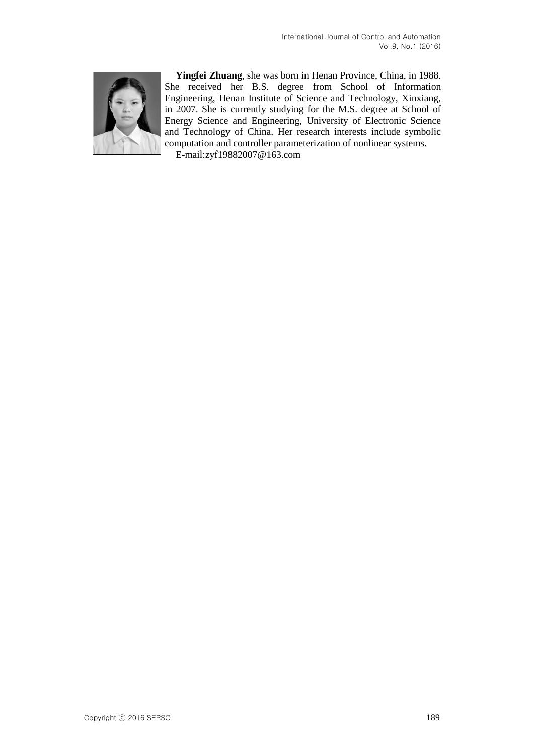

**Yingfei Zhuang**, she was born in Henan Province, China, in 1988. She received her B.S. degree from School of Information Engineering, Henan Institute of Science and Technology, Xinxiang, in 2007. She is currently studying for the M.S. degree at School of Energy Science and Engineering, University of Electronic Science and Technology of China. Her research interests include symbolic computation and controller parameterization of nonlinear systems.

E-mail:zyf19882007@163.com